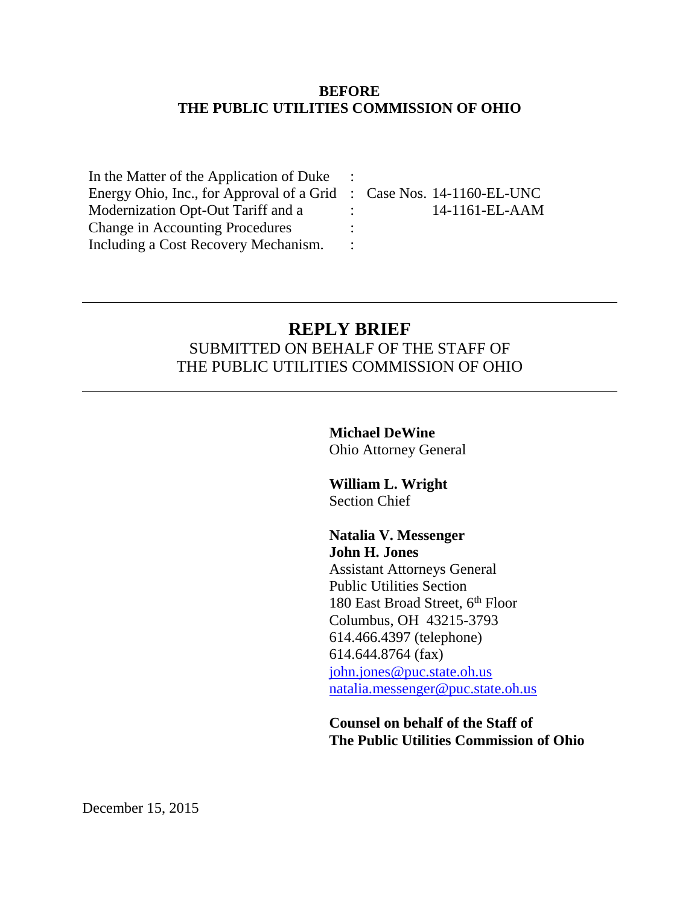#### **BEFORE THE PUBLIC UTILITIES COMMISSION OF OHIO**

| In the Matter of the Application of Duke                             |                                      |
|----------------------------------------------------------------------|--------------------------------------|
| Energy Ohio, Inc., for Approval of a Grid : Case Nos. 14-1160-EL-UNC |                                      |
| Modernization Opt-Out Tariff and a                                   | $14-1161$ -EL-AAM<br><b>Property</b> |
| <b>Change in Accounting Procedures</b>                               |                                      |
| Including a Cost Recovery Mechanism.                                 |                                      |

### **REPLY BRIEF** SUBMITTED ON BEHALF OF THE STAFF OF THE PUBLIC UTILITIES COMMISSION OF OHIO

**Michael DeWine** Ohio Attorney General

**William L. Wright** Section Chief

**Natalia V. Messenger John H. Jones**

Assistant Attorneys General Public Utilities Section 180 East Broad Street, 6<sup>th</sup> Floor Columbus, OH 43215-3793 614.466.4397 (telephone) 614.644.8764 (fax) [john.jones@puc.state.oh.us](mailto:john.jones@puc.state.oh.us) [natalia.messenger@puc.state.oh.us](mailto:natalia.messenger@puc.state.oh.us)

**Counsel on behalf of the Staff of The Public Utilities Commission of Ohio**

December 15, 2015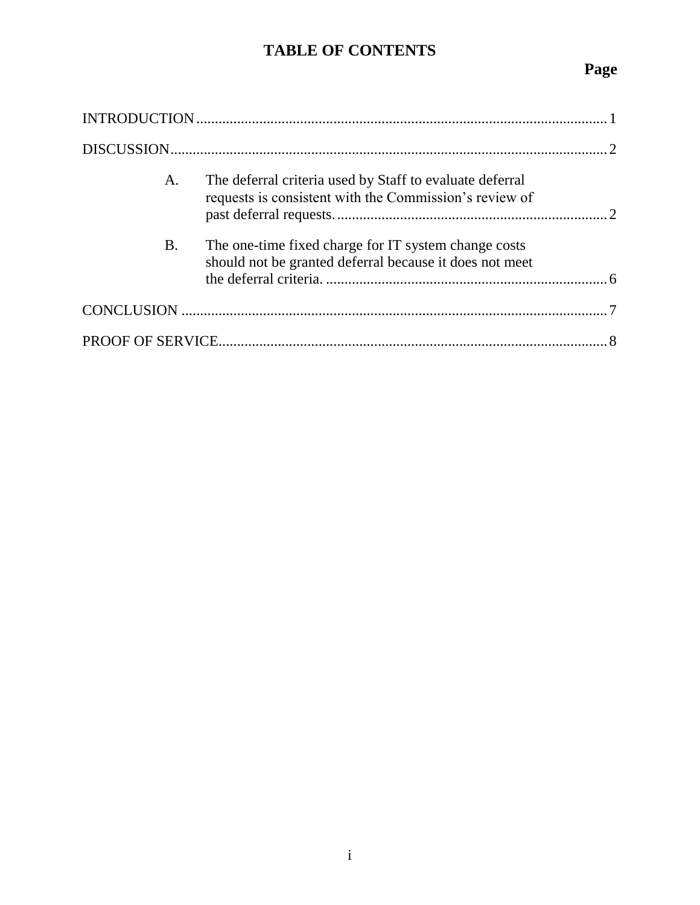## **TABLE OF CONTENTS**

# **Page**

| A.        | The deferral criteria used by Staff to evaluate deferral<br>requests is consistent with the Commission's review of |  |
|-----------|--------------------------------------------------------------------------------------------------------------------|--|
| <b>B.</b> | The one-time fixed charge for IT system change costs<br>should not be granted deferral because it does not meet    |  |
|           |                                                                                                                    |  |
|           |                                                                                                                    |  |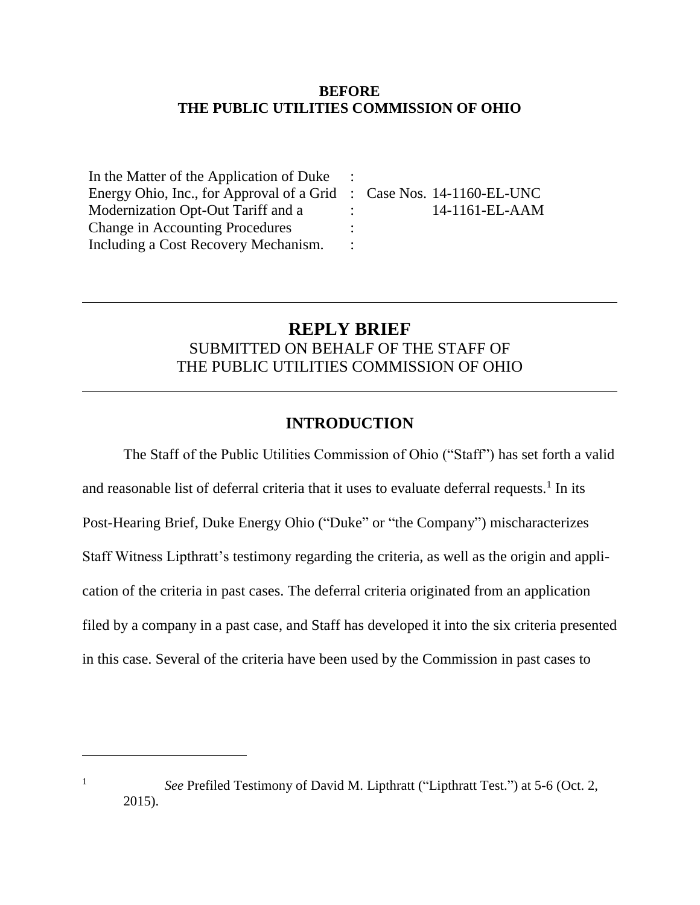#### **BEFORE THE PUBLIC UTILITIES COMMISSION OF OHIO**

| In the Matter of the Application of Duke                             |               |                   |
|----------------------------------------------------------------------|---------------|-------------------|
| Energy Ohio, Inc., for Approval of a Grid : Case Nos. 14-1160-EL-UNC |               |                   |
| Modernization Opt-Out Tariff and a                                   | $\mathcal{L}$ | $14-1161$ -EL-AAM |
| <b>Change in Accounting Procedures</b>                               |               |                   |
| Including a Cost Recovery Mechanism.                                 |               |                   |

### **REPLY BRIEF** SUBMITTED ON BEHALF OF THE STAFF OF THE PUBLIC UTILITIES COMMISSION OF OHIO

### **INTRODUCTION**

The Staff of the Public Utilities Commission of Ohio ("Staff") has set forth a valid and reasonable list of deferral criteria that it uses to evaluate deferral requests.<sup>1</sup> In its Post-Hearing Brief, Duke Energy Ohio ("Duke" or "the Company") mischaracterizes Staff Witness Lipthratt's testimony regarding the criteria, as well as the origin and application of the criteria in past cases. The deferral criteria originated from an application filed by a company in a past case, and Staff has developed it into the six criteria presented in this case. Several of the criteria have been used by the Commission in past cases to

 $\overline{a}$ 

<sup>1</sup> *See* Prefiled Testimony of David M. Lipthratt ("Lipthratt Test.") at 5-6 (Oct. 2, 2015).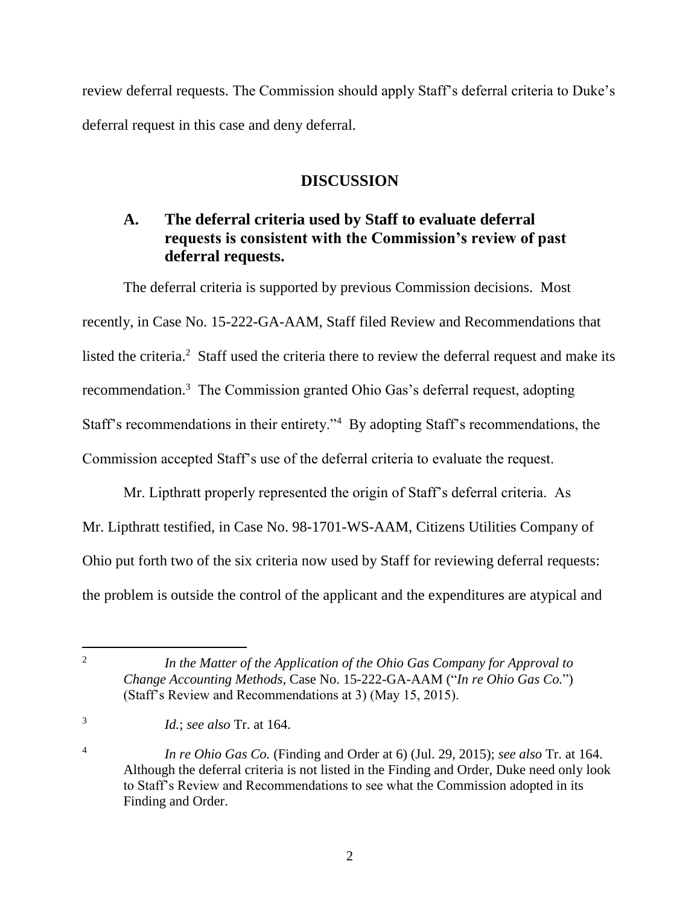review deferral requests. The Commission should apply Staff's deferral criteria to Duke's deferral request in this case and deny deferral.

### **DISCUSSION**

### **A. The deferral criteria used by Staff to evaluate deferral requests is consistent with the Commission's review of past deferral requests.**

The deferral criteria is supported by previous Commission decisions. Most recently, in Case No. 15-222-GA-AAM, Staff filed Review and Recommendations that listed the criteria.<sup>2</sup> Staff used the criteria there to review the deferral request and make its recommendation.<sup>3</sup> The Commission granted Ohio Gas's deferral request, adopting Staff's recommendations in their entirety."<sup>4</sup> By adopting Staff's recommendations, the Commission accepted Staff's use of the deferral criteria to evaluate the request.

Mr. Lipthratt properly represented the origin of Staff's deferral criteria. As Mr. Lipthratt testified, in Case No. 98-1701-WS-AAM, Citizens Utilities Company of Ohio put forth two of the six criteria now used by Staff for reviewing deferral requests: the problem is outside the control of the applicant and the expenditures are atypical and

 $\frac{1}{2}$ 

3

4

*In the Matter of the Application of the Ohio Gas Company for Approval to Change Accounting Methods*, Case No. 15-222-GA-AAM ("*In re Ohio Gas Co.*") (Staff's Review and Recommendations at 3) (May 15, 2015).

*Id.*; *see also* Tr. at 164.

*In re Ohio Gas Co.* (Finding and Order at 6) (Jul. 29, 2015); *see also* Tr. at 164. Although the deferral criteria is not listed in the Finding and Order, Duke need only look to Staff's Review and Recommendations to see what the Commission adopted in its Finding and Order.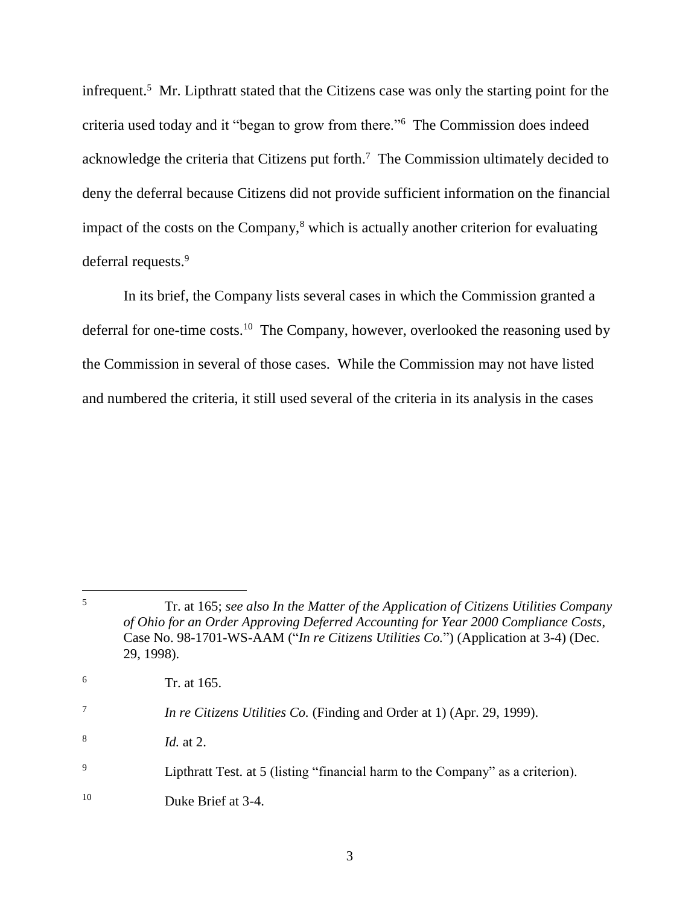infrequent.<sup>5</sup> Mr. Lipthratt stated that the Citizens case was only the starting point for the criteria used today and it "began to grow from there."<sup>6</sup> The Commission does indeed acknowledge the criteria that Citizens put forth.<sup>7</sup> The Commission ultimately decided to deny the deferral because Citizens did not provide sufficient information on the financial impact of the costs on the Company, $\frac{8}{3}$  which is actually another criterion for evaluating deferral requests.<sup>9</sup>

In its brief, the Company lists several cases in which the Commission granted a deferral for one-time costs.<sup>10</sup> The Company, however, overlooked the reasoning used by the Commission in several of those cases. While the Commission may not have listed and numbered the criteria, it still used several of the criteria in its analysis in the cases

 $\overline{5}$ <sup>5</sup> Tr. at 165; *see also In the Matter of the Application of Citizens Utilities Company of Ohio for an Order Approving Deferred Accounting for Year 2000 Compliance Costs*, Case No. 98-1701-WS-AAM ("*In re Citizens Utilities Co.*") (Application at 3-4) (Dec. 29, 1998).  $\frac{6}{r}$  Tr. at 165. 7 *In re Citizens Utilities Co.* (Finding and Order at 1) (Apr. 29, 1999). 8 *Id.* at 2.

<sup>9</sup> Lipthratt Test. at 5 (listing "financial harm to the Company" as a criterion).

<sup>10</sup> Duke Brief at 3-4.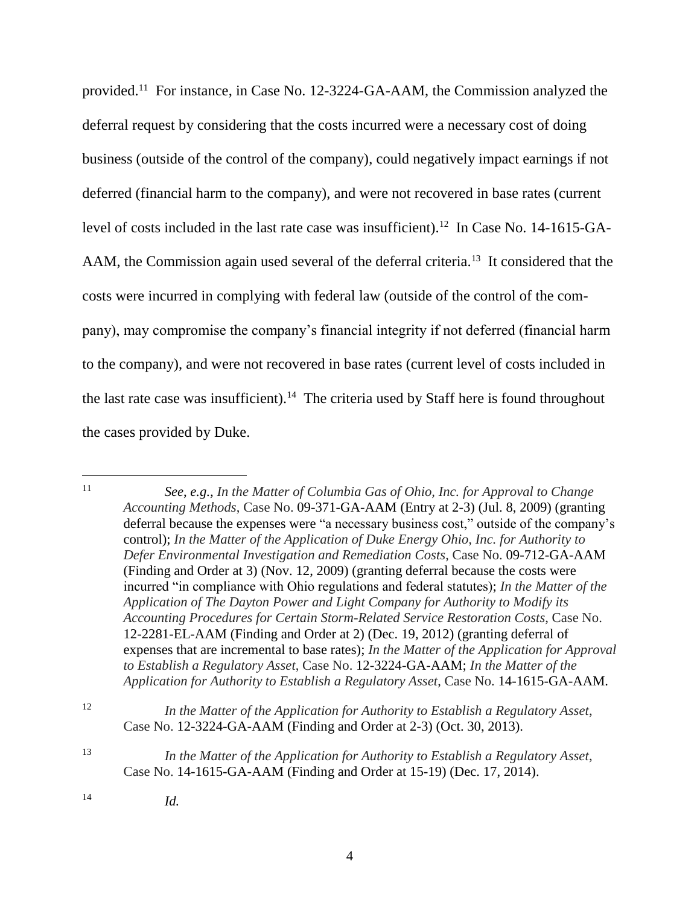provided.<sup>11</sup> For instance, in Case No. 12-3224-GA-AAM, the Commission analyzed the deferral request by considering that the costs incurred were a necessary cost of doing business (outside of the control of the company), could negatively impact earnings if not deferred (financial harm to the company), and were not recovered in base rates (current level of costs included in the last rate case was insufficient).<sup>12</sup> In Case No. 14-1615-GA-AAM, the Commission again used several of the deferral criteria.<sup>13</sup> It considered that the costs were incurred in complying with federal law (outside of the control of the company), may compromise the company's financial integrity if not deferred (financial harm to the company), and were not recovered in base rates (current level of costs included in the last rate case was insufficient).<sup>14</sup> The criteria used by Staff here is found throughout the cases provided by Duke.

<sup>11</sup> *See*, *e.g., In the Matter of Columbia Gas of Ohio, Inc. for Approval to Change Accounting Methods*, Case No. 09-371-GA-AAM (Entry at 2-3) (Jul. 8, 2009) (granting deferral because the expenses were "a necessary business cost," outside of the company's control); *In the Matter of the Application of Duke Energy Ohio, Inc. for Authority to Defer Environmental Investigation and Remediation Costs*, Case No. 09-712-GA-AAM (Finding and Order at 3) (Nov. 12, 2009) (granting deferral because the costs were incurred "in compliance with Ohio regulations and federal statutes); *In the Matter of the Application of The Dayton Power and Light Company for Authority to Modify its Accounting Procedures for Certain Storm-Related Service Restoration Costs*, Case No. 12-2281-EL-AAM (Finding and Order at 2) (Dec. 19, 2012) (granting deferral of expenses that are incremental to base rates); *In the Matter of the Application for Approval to Establish a Regulatory Asset*, Case No. 12-3224-GA-AAM; *In the Matter of the Application for Authority to Establish a Regulatory Asset*, Case No. 14-1615-GA-AAM.

<sup>12</sup> *In the Matter of the Application for Authority to Establish a Regulatory Asset*, Case No. 12-3224-GA-AAM (Finding and Order at 2-3) (Oct. 30, 2013).

<sup>13</sup> *In the Matter of the Application for Authority to Establish a Regulatory Asset*, Case No. 14-1615-GA-AAM (Finding and Order at 15-19) (Dec. 17, 2014).

<sup>14</sup> *Id.*

 $11$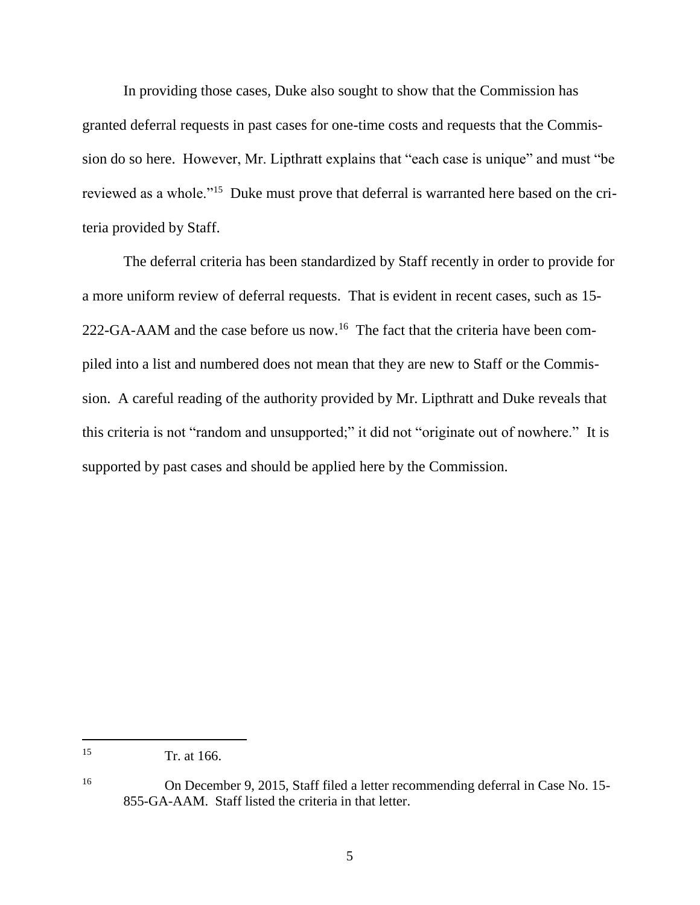In providing those cases, Duke also sought to show that the Commission has granted deferral requests in past cases for one-time costs and requests that the Commission do so here. However, Mr. Lipthratt explains that "each case is unique" and must "be reviewed as a whole."<sup>15</sup> Duke must prove that deferral is warranted here based on the criteria provided by Staff.

The deferral criteria has been standardized by Staff recently in order to provide for a more uniform review of deferral requests. That is evident in recent cases, such as 15- 222-GA-AAM and the case before us now.<sup>16</sup> The fact that the criteria have been compiled into a list and numbered does not mean that they are new to Staff or the Commission. A careful reading of the authority provided by Mr. Lipthratt and Duke reveals that this criteria is not "random and unsupported;" it did not "originate out of nowhere." It is supported by past cases and should be applied here by the Commission.

<sup>15</sup> Tr. at 166.

<sup>16</sup> On December 9, 2015, Staff filed a letter recommending deferral in Case No. 15- 855-GA-AAM. Staff listed the criteria in that letter.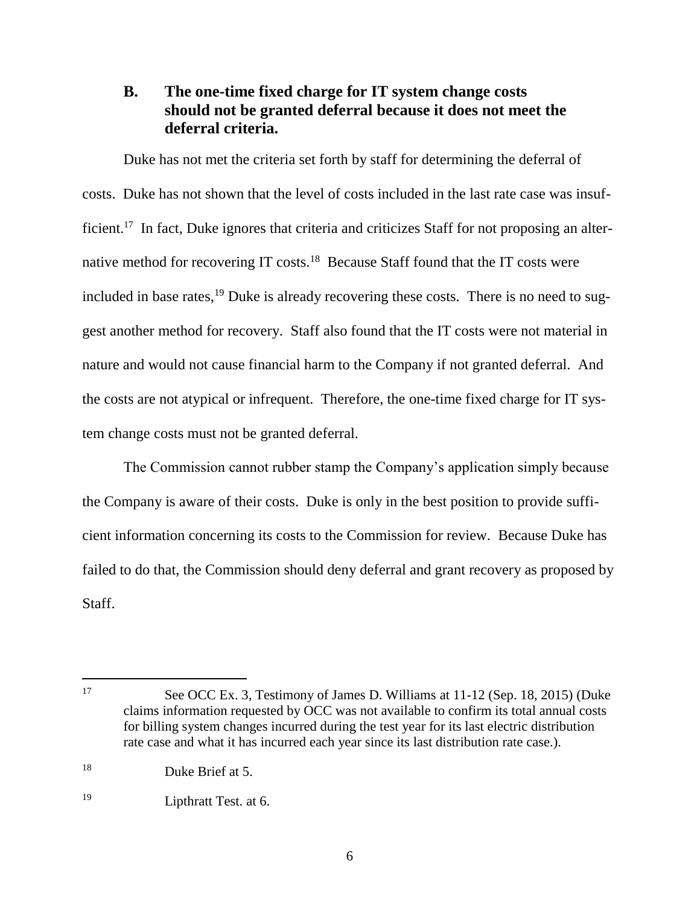### **B. The one-time fixed charge for IT system change costs should not be granted deferral because it does not meet the deferral criteria.**

Duke has not met the criteria set forth by staff for determining the deferral of costs. Duke has not shown that the level of costs included in the last rate case was insufficient.<sup>17</sup> In fact, Duke ignores that criteria and criticizes Staff for not proposing an alternative method for recovering IT costs.<sup>18</sup> Because Staff found that the IT costs were included in base rates, $^{19}$  Duke is already recovering these costs. There is no need to suggest another method for recovery. Staff also found that the IT costs were not material in nature and would not cause financial harm to the Company if not granted deferral. And the costs are not atypical or infrequent. Therefore, the one-time fixed charge for IT system change costs must not be granted deferral.

The Commission cannot rubber stamp the Company's application simply because the Company is aware of their costs. Duke is only in the best position to provide sufficient information concerning its costs to the Commission for review. Because Duke has failed to do that, the Commission should deny deferral and grant recovery as proposed by Staff.

<sup>17</sup> See OCC Ex. 3, Testimony of James D. Williams at 11-12 (Sep. 18, 2015) (Duke claims information requested by OCC was not available to confirm its total annual costs for billing system changes incurred during the test year for its last electric distribution rate case and what it has incurred each year since its last distribution rate case.).

<sup>18</sup> Duke Brief at 5.

<sup>19</sup> Lipthratt Test. at 6.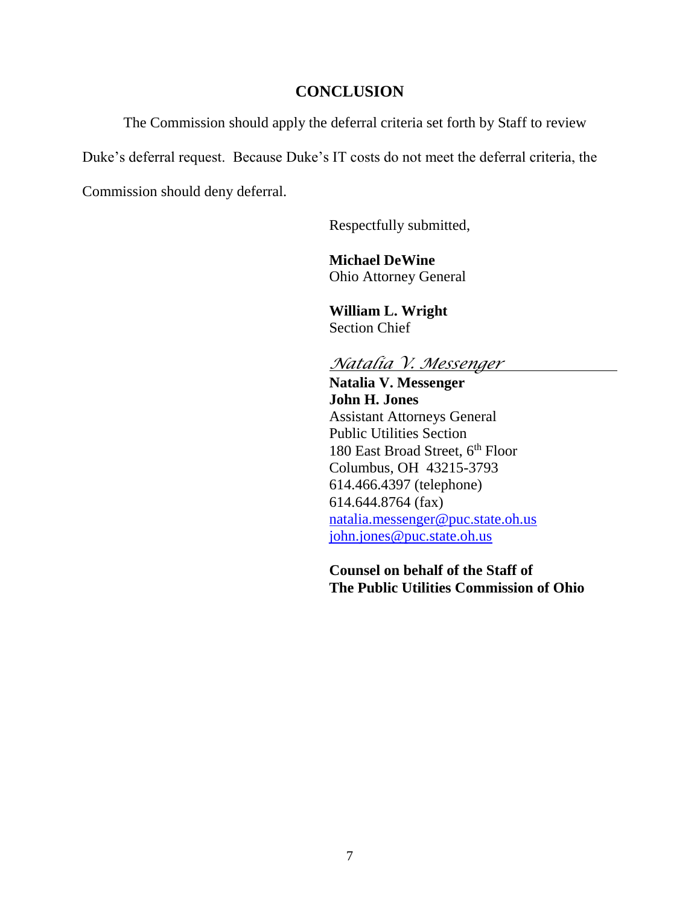#### **CONCLUSION**

The Commission should apply the deferral criteria set forth by Staff to review

Duke's deferral request. Because Duke's IT costs do not meet the deferral criteria, the

Commission should deny deferral.

Respectfully submitted,

**Michael DeWine** Ohio Attorney General

**William L. Wright** Section Chief

### *Natalia V. Messenger*

**Natalia V. Messenger John H. Jones** Assistant Attorneys General Public Utilities Section 180 East Broad Street, 6<sup>th</sup> Floor Columbus, OH 43215-3793 614.466.4397 (telephone) 614.644.8764 (fax) [natalia.messenger@puc.state.oh.us](mailto:natalia.messenger@puc.state.oh.us) [john.jones@puc.state.oh.us](mailto:john.jones@puc.state.oh.us)

**Counsel on behalf of the Staff of The Public Utilities Commission of Ohio**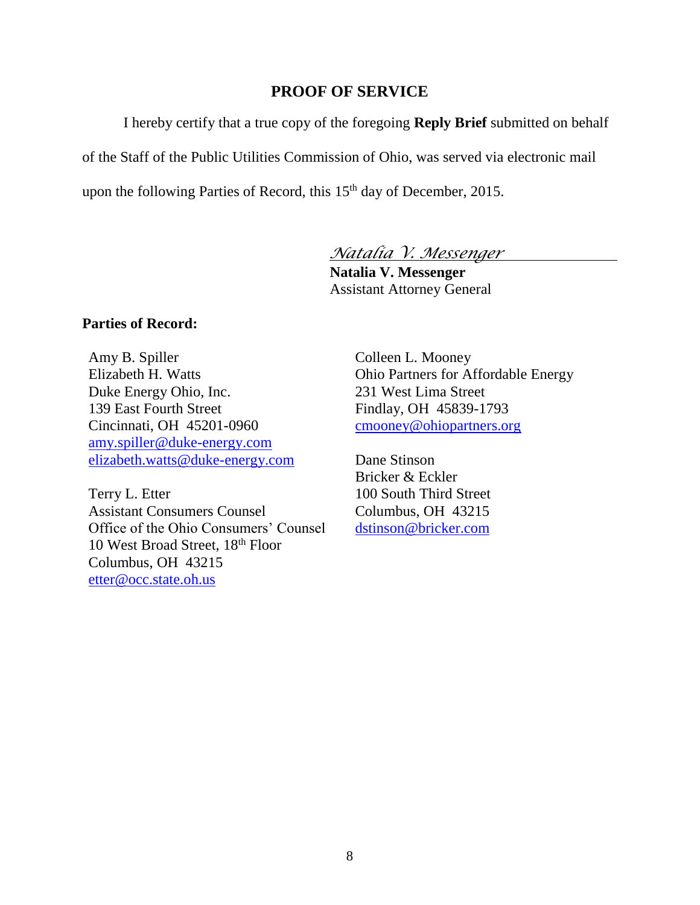#### **PROOF OF SERVICE**

I hereby certify that a true copy of the foregoing **Reply Brief** submitted on behalf

of the Staff of the Public Utilities Commission of Ohio, was served via electronic mail

upon the following Parties of Record, this 15<sup>th</sup> day of December, 2015.

*Natalia V. Messenger*

**Natalia V. Messenger** Assistant Attorney General

#### **Parties of Record:**

Amy B. Spiller Elizabeth H. Watts Duke Energy Ohio, Inc. 139 East Fourth Street Cincinnati, OH 45201-0960 [amy.spiller@duke-energy.com](mailto:amy.spiller@duke-energy.com) [elizabeth.watts@duke-energy.com](mailto:elizabeth.watts@duke-energy.com)

Terry L. Etter Assistant Consumers Counsel Office of the Ohio Consumers' Counsel 10 West Broad Street, 18th Floor Columbus, OH 43215 [etter@occ.state.oh.us](mailto:etter@occ.state.oh.us)

Colleen L. Mooney Ohio Partners for Affordable Energy 231 West Lima Street Findlay, OH 45839-1793 [cmooney@ohiopartners.org](mailto:cmooney@ohiopartners.org)

Dane Stinson Bricker & Eckler 100 South Third Street Columbus, OH 43215 [dstinson@bricker.com](mailto:dstinson@bricker.com)